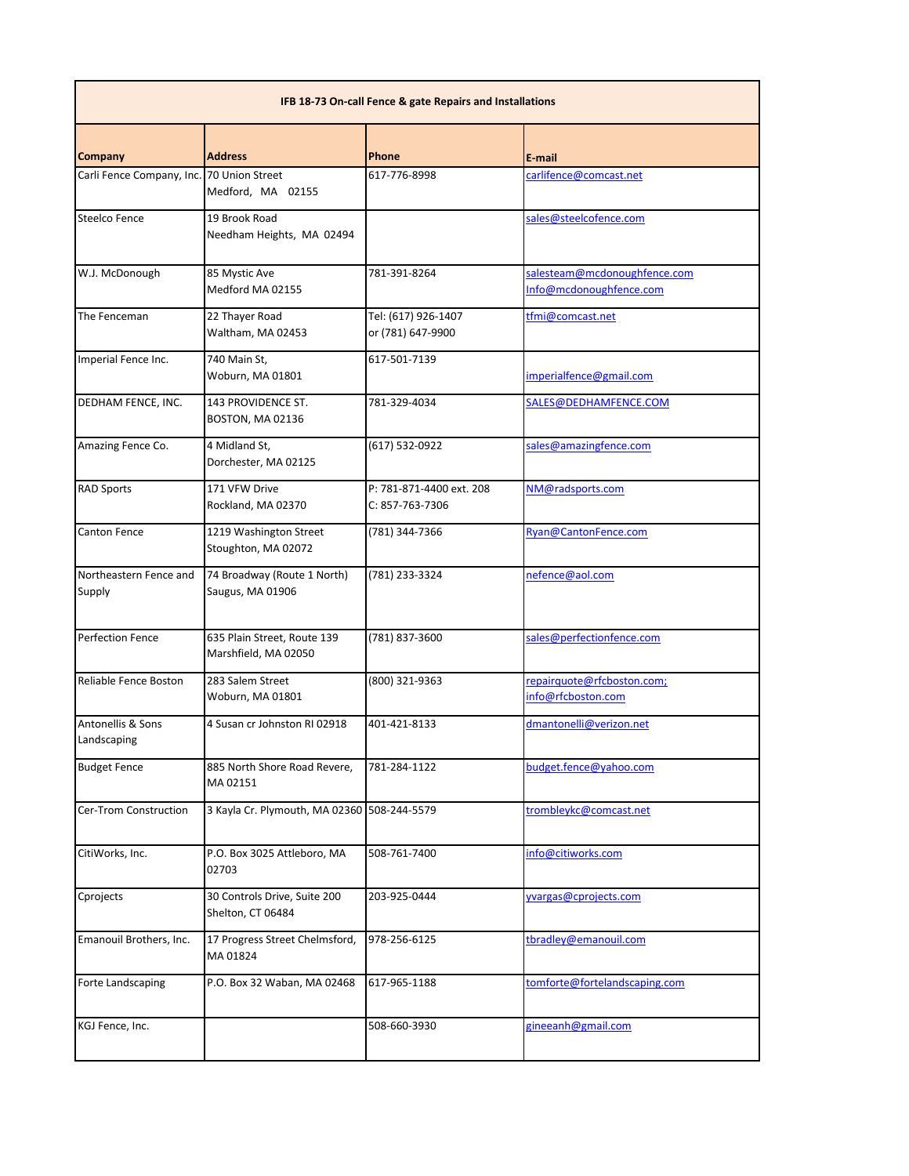| IFB 18-73 On-call Fence & gate Repairs and Installations |                                                     |                                             |                                                         |  |
|----------------------------------------------------------|-----------------------------------------------------|---------------------------------------------|---------------------------------------------------------|--|
| <b>Company</b>                                           | <b>Address</b>                                      | <b>Phone</b>                                | E-mail                                                  |  |
| Carli Fence Company, Inc.                                | 70 Union Street<br>Medford, MA 02155                | 617-776-8998                                | carlifence@comcast.net                                  |  |
| <b>Steelco Fence</b>                                     | 19 Brook Road<br>Needham Heights, MA 02494          |                                             | sales@steelcofence.com                                  |  |
| W.J. McDonough                                           | 85 Mystic Ave<br>Medford MA 02155                   | 781-391-8264                                | salesteam@mcdonoughfence.com<br>Info@mcdonoughfence.com |  |
| The Fenceman                                             | 22 Thayer Road<br>Waltham, MA 02453                 | Tel: (617) 926-1407<br>or (781) 647-9900    | tfmi@comcast.net                                        |  |
| Imperial Fence Inc.                                      | 740 Main St,<br>Woburn, MA 01801                    | 617-501-7139                                | imperialfence@gmail.com                                 |  |
| DEDHAM FENCE, INC.                                       | 143 PROVIDENCE ST.<br>BOSTON, MA 02136              | 781-329-4034                                | SALES@DEDHAMFENCE.COM                                   |  |
| Amazing Fence Co.                                        | 4 Midland St.<br>Dorchester, MA 02125               | (617) 532-0922                              | sales@amazingfence.com                                  |  |
| <b>RAD Sports</b>                                        | 171 VFW Drive<br>Rockland, MA 02370                 | P: 781-871-4400 ext. 208<br>C: 857-763-7306 | NM@radsports.com                                        |  |
| <b>Canton Fence</b>                                      | 1219 Washington Street<br>Stoughton, MA 02072       | (781) 344-7366                              | Ryan@CantonFence.com                                    |  |
| Northeastern Fence and<br>Supply                         | 74 Broadway (Route 1 North)<br>Saugus, MA 01906     | (781) 233-3324                              | nefence@aol.com                                         |  |
| <b>Perfection Fence</b>                                  | 635 Plain Street, Route 139<br>Marshfield, MA 02050 | (781) 837-3600                              | sales@perfectionfence.com                               |  |
| Reliable Fence Boston                                    | 283 Salem Street<br>Woburn, MA 01801                | (800) 321-9363                              | repairquote@rfcboston.com;<br>info@rfcboston.com        |  |
| Antonellis & Sons<br>Landscaping                         | 4 Susan cr Johnston RI 02918                        | 401-421-8133                                | dmantonelli@verizon.net                                 |  |
| <b>Budget Fence</b>                                      | 885 North Shore Road Revere,<br>MA 02151            | 781-284-1122                                | budget.fence@yahoo.com                                  |  |
| Cer-Trom Construction                                    | 3 Kayla Cr. Plymouth, MA 02360 508-244-5579         |                                             | trombleykc@comcast.net                                  |  |
| CitiWorks, Inc.                                          | P.O. Box 3025 Attleboro, MA<br>02703                | 508-761-7400                                | info@citiworks.com                                      |  |
| Cprojects                                                | 30 Controls Drive, Suite 200<br>Shelton, CT 06484   | 203-925-0444                                | yvargas@cprojects.com                                   |  |
| Emanouil Brothers, Inc.                                  | 17 Progress Street Chelmsford,<br>MA 01824          | 978-256-6125                                | tbradley@emanouil.com                                   |  |
| Forte Landscaping                                        | P.O. Box 32 Waban, MA 02468                         | 617-965-1188                                | tomforte@fortelandscaping.com                           |  |
| KGJ Fence, Inc.                                          |                                                     | 508-660-3930                                | gineeanh@gmail.com                                      |  |